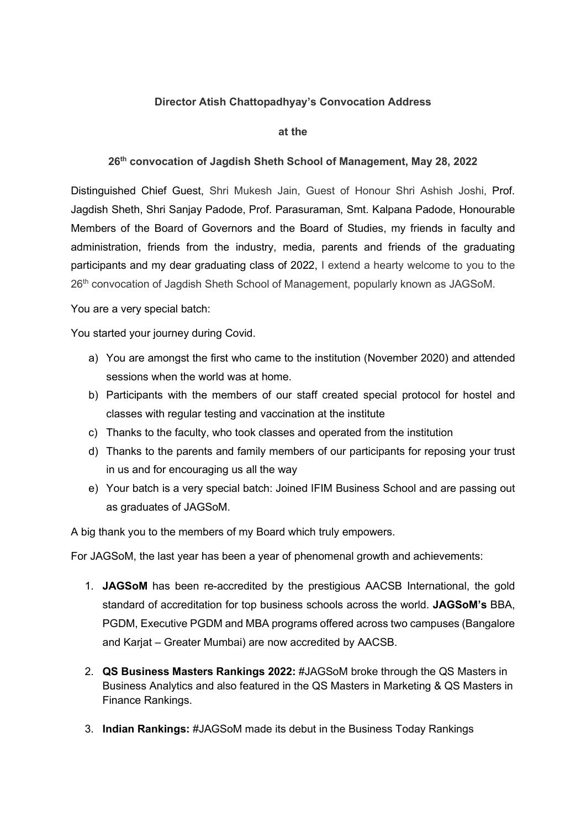## **Director Atish Chattopadhyay's Convocation Address**

## **at the**

## **26th convocation of Jagdish Sheth School of Management, May 28, 2022**

Distinguished Chief Guest, Shri Mukesh Jain, Guest of Honour Shri Ashish Joshi, Prof. Jagdish Sheth, Shri Sanjay Padode, Prof. Parasuraman, Smt. Kalpana Padode, Honourable Members of the Board of Governors and the Board of Studies, my friends in faculty and administration, friends from the industry, media, parents and friends of the graduating participants and my dear graduating class of 2022, I extend a hearty welcome to you to the 26<sup>th</sup> convocation of Jagdish Sheth School of Management, popularly known as JAGSoM.

You are a very special batch:

You started your journey during Covid.

- a) You are amongst the first who came to the institution (November 2020) and attended sessions when the world was at home.
- b) Participants with the members of our staff created special protocol for hostel and classes with regular testing and vaccination at the institute
- c) Thanks to the faculty, who took classes and operated from the institution
- d) Thanks to the parents and family members of our participants for reposing your trust in us and for encouraging us all the way
- e) Your batch is a very special batch: Joined IFIM Business School and are passing out as graduates of JAGSoM.

A big thank you to the members of my Board which truly empowers.

For JAGSoM, the last year has been a year of phenomenal growth and achievements:

- 1. **JAGSoM** has been re-accredited by the prestigious AACSB International, the gold standard of accreditation for top business schools across the world. **JAGSoM's** BBA, PGDM, Executive PGDM and MBA programs offered across two campuses (Bangalore and Karjat – Greater Mumbai) are now accredited by AACSB.
- 2. **QS Business Masters Rankings 2022:** #JAGSoM broke through the QS Masters in Business Analytics and also featured in the QS Masters in Marketing & QS Masters in Finance Rankings.
- 3. **Indian Rankings:** #JAGSoM made its debut in the Business Today Rankings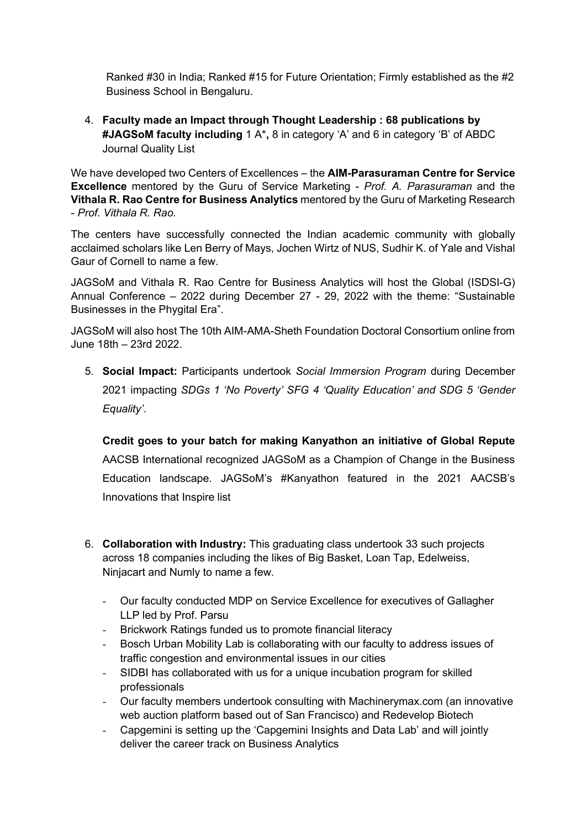Ranked #30 in India; Ranked #15 for Future Orientation; Firmly established as the #2 Business School in Bengaluru.

4. **Faculty made an Impact through Thought Leadership : 68 publications by #JAGSoM faculty including** 1 A\***,** 8 in category 'A' and 6 in category 'B' of ABDC Journal Quality List

We have developed two Centers of Excellences – the **AIM-Parasuraman Centre for Service Excellence** mentored by the Guru of Service Marketing - *Prof. A. Parasuraman* and the **Vithala R. Rao Centre for Business Analytics** mentored by the Guru of Marketing Research - *Prof. Vithala R. Rao.*

The centers have successfully connected the Indian academic community with globally acclaimed scholars like Len Berry of Mays, Jochen Wirtz of NUS, Sudhir K. of Yale and Vishal Gaur of Cornell to name a few.

JAGSoM and Vithala R. Rao Centre for Business Analytics will host the Global (ISDSI-G) Annual Conference – 2022 during December 27 - 29, 2022 with the theme: "Sustainable Businesses in the Phygital Era".

JAGSoM will also host The 10th AIM-AMA-Sheth Foundation Doctoral Consortium online from June 18th – 23rd 2022.

5. **Social Impact:** Participants undertook *Social Immersion Program* during December 2021 impacting *SDGs 1 'No Poverty' SFG 4 'Quality Education' and SDG 5 'Gender Equality'*.

**Credit goes to your batch for making Kanyathon an initiative of Global Repute** AACSB International recognized JAGSoM as a Champion of Change in the Business Education landscape. JAGSoM's #Kanyathon featured in the 2021 AACSB's Innovations that Inspire list

- 6. **Collaboration with Industry:** This graduating class undertook 33 such projects across 18 companies including the likes of Big Basket, Loan Tap, Edelweiss, Ninjacart and Numly to name a few.
	- Our faculty conducted MDP on Service Excellence for executives of Gallagher LLP led by Prof. Parsu
	- Brickwork Ratings funded us to promote financial literacy
	- Bosch Urban Mobility Lab is collaborating with our faculty to address issues of traffic congestion and environmental issues in our cities
	- SIDBI has collaborated with us for a unique incubation program for skilled professionals
	- Our faculty members undertook consulting with Machinerymax.com (an innovative web auction platform based out of San Francisco) and Redevelop Biotech
	- Capgemini is setting up the 'Capgemini Insights and Data Lab' and will jointly deliver the career track on Business Analytics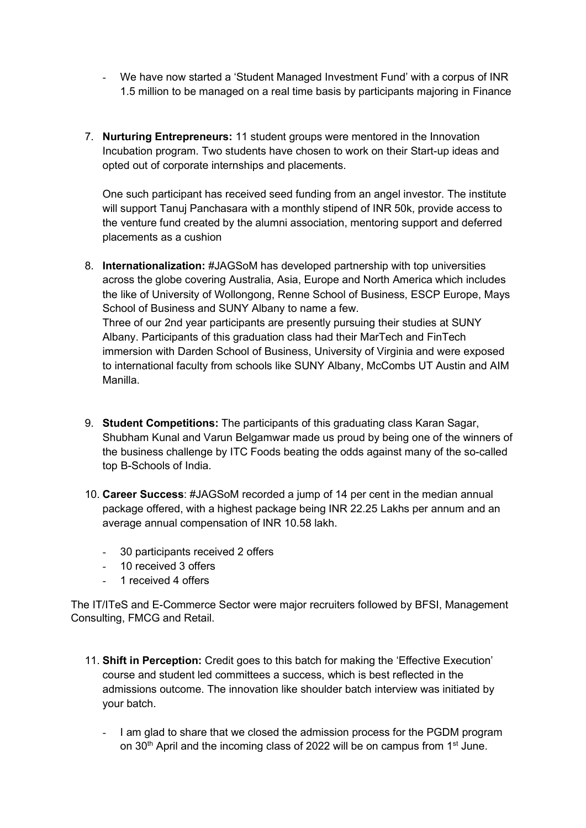- We have now started a 'Student Managed Investment Fund' with a corpus of INR 1.5 million to be managed on a real time basis by participants majoring in Finance
- 7. **Nurturing Entrepreneurs:** 11 student groups were mentored in the Innovation Incubation program. Two students have chosen to work on their Start-up ideas and opted out of corporate internships and placements.

One such participant has received seed funding from an angel investor. The institute will support Tanuj Panchasara with a monthly stipend of INR 50k, provide access to the venture fund created by the alumni association, mentoring support and deferred placements as a cushion

- 8. **Internationalization:** #JAGSoM has developed partnership with top universities across the globe covering Australia, Asia, Europe and North America which includes the like of University of Wollongong, Renne School of Business, ESCP Europe, Mays School of Business and SUNY Albany to name a few. Three of our 2nd year participants are presently pursuing their studies at SUNY Albany. Participants of this graduation class had their MarTech and FinTech immersion with Darden School of Business, University of Virginia and were exposed to international faculty from schools like SUNY Albany, McCombs UT Austin and AIM Manilla.
- 9. **Student Competitions:** The participants of this graduating class Karan Sagar, Shubham Kunal and Varun Belgamwar made us proud by being one of the winners of the business challenge by ITC Foods beating the odds against many of the so-called top B-Schools of India.
- 10. **Career Success**: #JAGSoM recorded a jump of 14 per cent in the median annual package offered, with a highest package being INR 22.25 Lakhs per annum and an average annual compensation of INR 10.58 lakh.
	- 30 participants received 2 offers
	- 10 received 3 offers
	- 1 received 4 offers

The IT/ITeS and E-Commerce Sector were major recruiters followed by BFSI, Management Consulting, FMCG and Retail.

- 11. **Shift in Perception:** Credit goes to this batch for making the 'Effective Execution' course and student led committees a success, which is best reflected in the admissions outcome. The innovation like shoulder batch interview was initiated by your batch.
	- I am glad to share that we closed the admission process for the PGDM program on 30<sup>th</sup> April and the incoming class of 2022 will be on campus from 1<sup>st</sup> June.